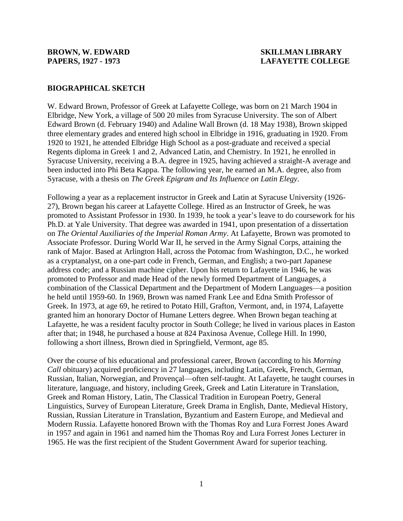## **BIOGRAPHICAL SKETCH**

W. Edward Brown, Professor of Greek at Lafayette College, was born on 21 March 1904 in Elbridge, New York, a village of 500 20 miles from Syracuse University. The son of Albert Edward Brown (d. February 1940) and Adaline Wall Brown (d. 18 May 1938), Brown skipped three elementary grades and entered high school in Elbridge in 1916, graduating in 1920. From 1920 to 1921, he attended Elbridge High School as a post-graduate and received a special Regents diploma in Greek 1 and 2, Advanced Latin, and Chemistry. In 1921, he enrolled in Syracuse University, receiving a B.A. degree in 1925, having achieved a straight-A average and been inducted into Phi Beta Kappa. The following year, he earned an M.A. degree, also from Syracuse, with a thesis on *The Greek Epigram and Its Influence on Latin Elegy*.

Following a year as a replacement instructor in Greek and Latin at Syracuse University (1926- 27), Brown began his career at Lafayette College. Hired as an Instructor of Greek, he was promoted to Assistant Professor in 1930. In 1939, he took a year's leave to do coursework for his Ph.D. at Yale University. That degree was awarded in 1941, upon presentation of a dissertation on *The Oriental Auxiliaries of the Imperial Roman Army*. At Lafayette, Brown was promoted to Associate Professor. During World War II, he served in the Army Signal Corps, attaining the rank of Major. Based at Arlington Hall, across the Potomac from Washington, D.C., he worked as a cryptanalyst, on a one-part code in French, German, and English; a two-part Japanese address code; and a Russian machine cipher. Upon his return to Lafayette in 1946, he was promoted to Professor and made Head of the newly formed Department of Languages, a combination of the Classical Department and the Department of Modern Languages—a position he held until 1959-60. In 1969, Brown was named Frank Lee and Edna Smith Professor of Greek. In 1973, at age 69, he retired to Potato Hill, Grafton, Vermont, and, in 1974, Lafayette granted him an honorary Doctor of Humane Letters degree. When Brown began teaching at Lafayette, he was a resident faculty proctor in South College; he lived in various places in Easton after that; in 1948, he purchased a house at 824 Paxinosa Avenue, College Hill. In 1990, following a short illness, Brown died in Springfield, Vermont, age 85.

Over the course of his educational and professional career, Brown (according to his *Morning Call* obituary) acquired proficiency in 27 languages, including Latin, Greek, French, German, Russian, Italian, Norwegian, and Provençal—often self-taught. At Lafayette, he taught courses in literature, language, and history, including Greek, Greek and Latin Literature in Translation, Greek and Roman History, Latin, The Classical Tradition in European Poetry, General Linguistics, Survey of European Literature, Greek Drama in English, Dante, Medieval History, Russian, Russian Literature in Translation, Byzantium and Eastern Europe, and Medieval and Modern Russia. Lafayette honored Brown with the Thomas Roy and Lura Forrest Jones Award in 1957 and again in 1961 and named him the Thomas Roy and Lura Forrest Jones Lecturer in 1965. He was the first recipient of the Student Government Award for superior teaching.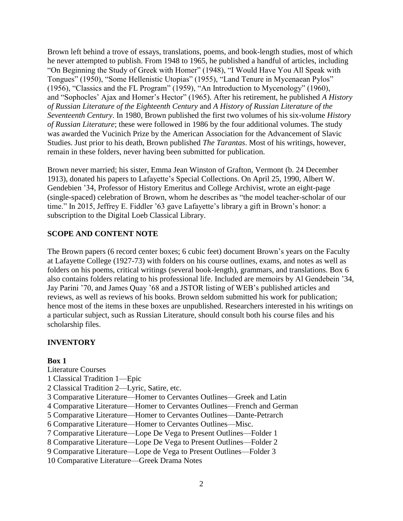Brown left behind a trove of essays, translations, poems, and book-length studies, most of which he never attempted to publish. From 1948 to 1965, he published a handful of articles, including "On Beginning the Study of Greek with Homer" (1948), "I Would Have You All Speak with Tongues" (1950), "Some Hellenistic Utopias" (1955), "Land Tenure in Mycenaean Pylos" (1956), "Classics and the FL Program" (1959), "An Introduction to Mycenology" (1960), and "Sophocles' Ajax and Homer's Hector" (1965). After his retirement, he published *A History of Russian Literature of the Eighteenth Century* and *A History of Russian Literature of the Seventeenth Century*. In 1980, Brown published the first two volumes of his six-volume *History of Russian Literature*; these were followed in 1986 by the four additional volumes. The study was awarded the Vucinich Prize by the American Association for the Advancement of Slavic Studies. Just prior to his death, Brown published *The Tarantas*. Most of his writings, however, remain in these folders, never having been submitted for publication.

Brown never married; his sister, Emma Jean Winston of Grafton, Vermont (b. 24 December 1913), donated his papers to Lafayette's Special Collections. On April 25, 1990, Albert W. Gendebien '34, Professor of History Emeritus and College Archivist, wrote an eight-page (single-spaced) celebration of Brown, whom he describes as "the model teacher-scholar of our time." In 2015, Jeffrey E. Fiddler '63 gave Lafayette's library a gift in Brown's honor: a subscription to the Digital Loeb Classical Library.

## **SCOPE AND CONTENT NOTE**

The Brown papers (6 record center boxes; 6 cubic feet) document Brown's years on the Faculty at Lafayette College (1927-73) with folders on his course outlines, exams, and notes as well as folders on his poems, critical writings (several book-length), grammars, and translations. Box 6 also contains folders relating to his professional life. Included are memoirs by Al Gendebein '34, Jay Parini '70, and James Quay '68 and a JSTOR listing of WEB's published articles and reviews, as well as reviews of his books. Brown seldom submitted his work for publication; hence most of the items in these boxes are unpublished. Researchers interested in his writings on a particular subject, such as Russian Literature, should consult both his course files and his scholarship files.

# **INVENTORY**

### **Box 1**

Literature Courses

- 1 Classical Tradition 1—Epic
- 2 Classical Tradition 2—Lyric, Satire, etc.
- 3 Comparative Literature—Homer to Cervantes Outlines—Greek and Latin
- 4 Comparative Literature—Homer to Cervantes Outlines—French and German
- 5 Comparative Literature—Homer to Cervantes Outlines—Dante-Petrarch
- 6 Comparative Literature—Homer to Cervantes Outlines—Misc.
- 7 Comparative Literature—Lope De Vega to Present Outlines—Folder 1
- 8 Comparative Literature—Lope De Vega to Present Outlines—Folder 2
- 9 Comparative Literature—Lope de Vega to Present Outlines—Folder 3
- 10 Comparative Literature—Greek Drama Notes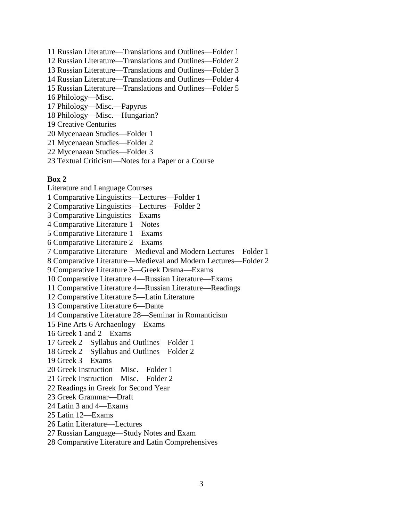- 11 Russian Literature—Translations and Outlines—Folder 1
- 12 Russian Literature—Translations and Outlines—Folder 2
- 13 Russian Literature—Translations and Outlines—Folder 3
- 14 Russian Literature—Translations and Outlines—Folder 4
- 15 Russian Literature—Translations and Outlines—Folder 5
- 16 Philology—Misc.
- 17 Philology—Misc.—Papyrus
- 18 Philology—Misc.—Hungarian?
- 19 Creative Centuries
- 20 Mycenaean Studies—Folder 1
- 21 Mycenaean Studies—Folder 2
- 22 Mycenaean Studies—Folder 3
- 23 Textual Criticism—Notes for a Paper or a Course

#### **Box 2**

Literature and Language Courses 1 Comparative Linguistics—Lectures—Folder 1 2 Comparative Linguistics—Lectures—Folder 2 3 Comparative Linguistics—Exams 4 Comparative Literature 1—Notes 5 Comparative Literature 1—Exams 6 Comparative Literature 2—Exams 7 Comparative Literature—Medieval and Modern Lectures—Folder 1 8 Comparative Literature—Medieval and Modern Lectures—Folder 2 9 Comparative Literature 3—Greek Drama—Exams 10 Comparative Literature 4—Russian Literature—Exams 11 Comparative Literature 4—Russian Literature—Readings 12 Comparative Literature 5—Latin Literature 13 Comparative Literature 6—Dante 14 Comparative Literature 28—Seminar in Romanticism 15 Fine Arts 6 Archaeology—Exams 16 Greek 1 and 2—Exams 17 Greek 2—Syllabus and Outlines—Folder 1 18 Greek 2—Syllabus and Outlines—Folder 2 19 Greek 3—Exams 20 Greek Instruction—Misc.—Folder 1 21 Greek Instruction—Misc.—Folder 2 22 Readings in Greek for Second Year 23 Greek Grammar—Draft 24 Latin 3 and 4—Exams 25 Latin 12—Exams 26 Latin Literature—Lectures 27 Russian Language—Study Notes and Exam 28 Comparative Literature and Latin Comprehensives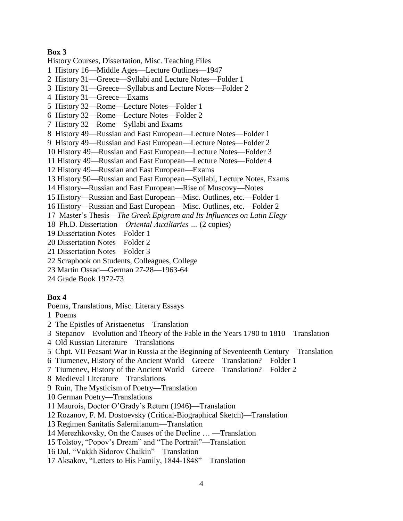### **Box 3**

History Courses, Dissertation, Misc. Teaching Files

- 1 History 16—Middle Ages—Lecture Outlines—1947
- 2 History 31—Greece—Syllabi and Lecture Notes—Folder 1
- 3 History 31—Greece—Syllabus and Lecture Notes—Folder 2
- 4 History 31—Greece—Exams
- 5 History 32—Rome—Lecture Notes—Folder 1
- 6 History 32—Rome—Lecture Notes—Folder 2
- 7 History 32—Rome—Syllabi and Exams
- 8 History 49—Russian and East European—Lecture Notes—Folder 1
- 9 History 49—Russian and East European—Lecture Notes—Folder 2
- 10 History 49—Russian and East European—Lecture Notes—Folder 3
- 11 History 49—Russian and East European—Lecture Notes—Folder 4
- 12 History 49—Russian and East European—Exams
- 13 History 50—Russian and East European—Syllabi, Lecture Notes, Exams
- 14 History—Russian and East European—Rise of Muscovy—Notes
- 15 History—Russian and East European—Misc. Outlines, etc.—Folder 1
- 16 History—Russian and East European—Misc. Outlines, etc.—Folder 2
- 17 Master's Thesis—*The Greek Epigram and Its Influences on Latin Elegy*
- 18 Ph.D. Dissertation—*Oriental Auxiliaries …* (2 copies)
- 19 Dissertation Notes—Folder 1
- 20 Dissertation Notes—Folder 2
- 21 Dissertation Notes—Folder 3
- 22 Scrapbook on Students, Colleagues, College
- 23 Martin Ossad—German 27-28—1963-64
- 24 Grade Book 1972-73

### **Box 4**

Poems, Translations, Misc. Literary Essays

- 1 Poems
- 2 The Epistles of Aristaenetus—Translation
- 3 Stepanov—Evolution and Theory of the Fable in the Years 1790 to 1810—Translation
- 4 Old Russian Literature—Translations
- 5 Chpt. VII Peasant War in Russia at the Beginning of Seventeenth Century—Translation
- 6 Tiumenev, History of the Ancient World—Greece—Translation?—Folder 1
- 7 Tiumenev, History of the Ancient World—Greece—Translation?—Folder 2
- 8 Medieval Literature—Translations
- 9 Ruin, The Mysticism of Poetry—Translation
- 10 German Poetry—Translations
- 11 Maurois, Doctor O'Grady's Return (1946)—Translation
- 12 Rozanov, F. M. Dostoevsky (Critical-Biographical Sketch)—Translation
- 13 Regimen Sanitatis Salernitanum—Translation
- 14 Merezhkovsky, On the Causes of the Decline … —Translation
- 15 Tolstoy, "Popov's Dream" and "The Portrait"—Translation
- 16 Dal, "Vakkh Sidorov Chaikin"—Translation
- 17 Aksakov, "Letters to His Family, 1844-1848"—Translation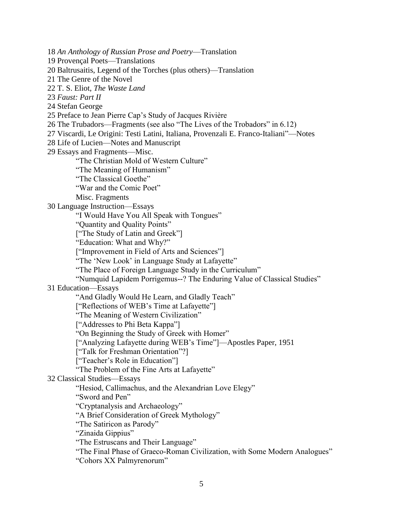18 *An Anthology of Russian Prose and Poetry*—Translation

19 Provençal Poets—Translations

20 Baltrusaitis, Legend of the Torches (plus others)—Translation

21 The Genre of the Novel

22 T. S. Eliot, *The Waste Land*

23 *Faust: Part II*

24 Stefan George

25 Preface to Jean Pierre Cap's Study of Jacques Rivière

26 The Trubadors—Fragments (see also "The Lives of the Trobadors" in 6.12)

27 Viscardi, Le Origini: Testi Latini, Italiana, Provenzali E. Franco-Italiani"—Notes

28 Life of Lucien—Notes and Manuscript

29 Essays and Fragments—Misc.

"The Christian Mold of Western Culture"

"The Meaning of Humanism"

"The Classical Goethe"

"War and the Comic Poet"

Misc. Fragments

30 Language Instruction—Essays

"I Would Have You All Speak with Tongues"

"Quantity and Quality Points"

["The Study of Latin and Greek"]

"Education: What and Why?"

["Improvement in Field of Arts and Sciences"]

"The 'New Look' in Language Study at Lafayette"

"The Place of Foreign Language Study in the Curriculum"

"Numquid Lapidem Porrigemus--? The Enduring Value of Classical Studies"

31 Education—Essays

"And Gladly Would He Learn, and Gladly Teach"

["Reflections of WEB's Time at Lafayette"]

"The Meaning of Western Civilization"

["Addresses to Phi Beta Kappa"]

"On Beginning the Study of Greek with Homer"

["Analyzing Lafayette during WEB's Time"]—Apostles Paper, 1951

["Talk for Freshman Orientation"?]

["Teacher's Role in Education"]

"The Problem of the Fine Arts at Lafayette"

32 Classical Studies—Essays

"Hesiod, Callimachus, and the Alexandrian Love Elegy"

"Sword and Pen"

"Cryptanalysis and Archaeology"

"A Brief Consideration of Greek Mythology"

"The Satiricon as Parody"

"Zinaida Gippius"

"The Estruscans and Their Language"

"The Final Phase of Graeco-Roman Civilization, with Some Modern Analogues"

"Cohors XX Palmyrenorum"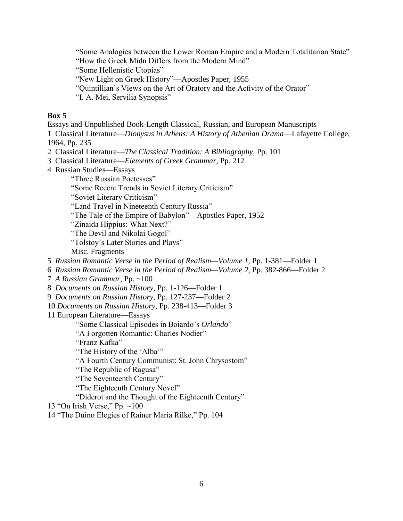"Some Analogies between the Lower Roman Empire and a Modern Totalitarian State"

"How the Greek Midn Differs from the Modern Mind"

"Some Hellenistic Utopias"

"New Light on Greek History"—Apostles Paper, 1955

"Quintillian's Views on the Art of Oratory and the Activity of the Orator"

"I. A. Mei, Servilia Synopsis"

# **Box 5**

Essays and Unpublished Book-Length Classical, Russian, and European Manuscripts

1 Classical Literature—*Dionysus in Athens: A History of Athenian Drama*—Lafayette College, 1964, Pp. 235

2 Classical Literature—*The Classical Tradition: A Bibliography*, Pp. 101

- 3 Classical Literature—*Elements of Greek Grammar*, Pp. 212
- 4 Russian Studies—Essays

"Three Russian Poetesses"

"Some Recent Trends in Soviet Literary Criticism"

"Soviet Literary Criticism"

"Land Travel in Nineteenth Century Russia"

"The Tale of the Empire of Babylon"—Apostles Paper, 1952

"Zinaida Hippius: What Next?"

"The Devil and Nikolai Gogol"

"Tolstoy's Later Stories and Plays"

Misc. Fragments

5 *Russian Romantic Verse in the Period of Realism—Volume 1*, Pp. 1-381—Folder 1

6 *Russian Romantic Verse in the Period of Realism—Volume 2*, Pp. 382-866—Folder 2

7 *A Russian Grammar*, Pp. ~100

8 *Documents on Russian History*, Pp. 1-126—Folder 1

9 *Documents on Russian History*, Pp. 127-237—Folder 2

10 *Documents on Russian History*, Pp. 238-413—Folder 3

11 European Literature—Essays

"Some Classical Episodes in Boiardo's *Orlando*"

"A Forgotten Romantic: Charles Nodier"

"Franz Kafka"

"The History of the 'Alba'"

"A Fourth Century Communist: St. John Chrysostom"

"The Republic of Ragusa"

"The Seventeenth Century"

"The Eighteenth Century Novel"

"Diderot and the Thought of the Eighteenth Century"

13 "On Irish Verse," Pp. ~100

14 "The Duino Elegies of Rainer Maria Rilke," Pp. 104